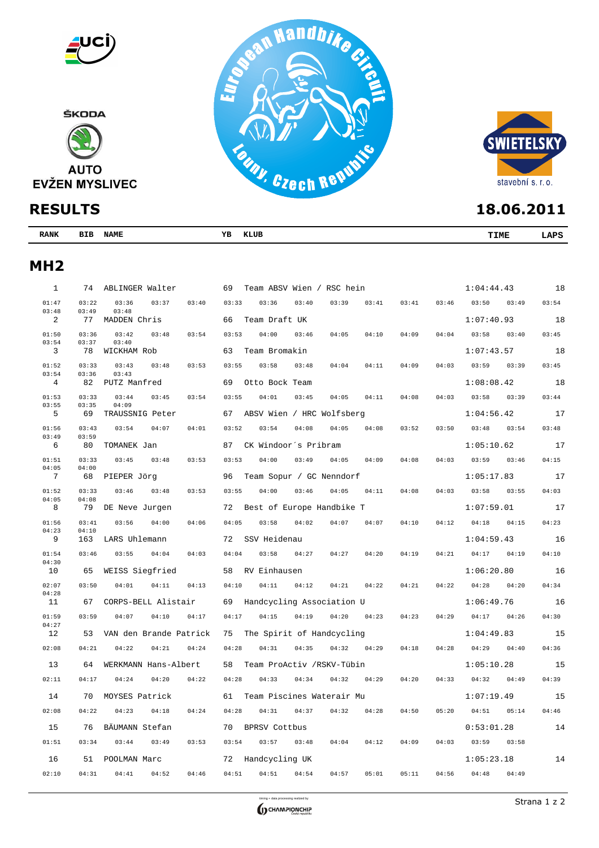



| <b>RANK</b><br>$  -$ | BIB | <b>NAME</b><br>$-1$ | YB | KLUB | <b>TIME</b> | ΔDS |
|----------------------|-----|---------------------|----|------|-------------|-----|
|                      |     |                     |    |      |             |     |

## **MH2**

| $\mathbf{1}$   |                | 74 ABLINGER Walter               | Team ABSV Wien / RSC hein<br>69                              | 1:04:44.43     | 18    |
|----------------|----------------|----------------------------------|--------------------------------------------------------------|----------------|-------|
| 01:47<br>03:48 | 03:22<br>03:49 | 03:36<br>03:37<br>03:40<br>03:48 | 03:33<br>03:36<br>03:40<br>03:39<br>03:41<br>03:41<br>03:46  | 03:50<br>03:49 | 03:54 |
| 2              | 77             | MADDEN Chris                     | 66<br>Team Draft UK                                          | 1:07:40.93     | 18    |
| 01:50<br>03:54 | 03:36<br>03:37 | 03:42<br>03:48<br>03:54<br>03:40 | 03:53<br>04:00<br>03:46<br>04:05<br>04:10<br>04:09<br>04:04  | 03:58<br>03:40 | 03:45 |
| 3              | 78             | WICKHAM Rob                      | 63<br>Team Bromakin                                          | 1:07:43.57     | 18    |
| 01:52          | 03:33          | 03:43<br>03:48<br>03:53          | 03:55<br>03:58<br>03:48<br>04:04<br>04:11<br>04:09<br>04:03  | 03:59<br>03:39 | 03:45 |
| 03:54<br>4     | 03:36<br>82    | 03:43<br>PUTZ Manfred            | 69<br>Otto Bock Team                                         | 1:08:08.42     | 18    |
| 01:53          | 03:33          | 03:44<br>03:54<br>03:45          | 03:55<br>04:01<br>04:05<br>04:03<br>03:45<br>04:11<br>04:08  | 03:58<br>03:39 | 03:44 |
| 03:55<br>5     | 03:35<br>69    | 04:09<br>TRAUSSNIG Peter         | ABSV Wien / HRC Wolfsberg<br>67                              | 1:04:56.42     | 17    |
| 01:56          | 03:43          | 03:54<br>04:07<br>04:01          | 03:52<br>03:54<br>04:08<br>04:05<br>04:08<br>03:52<br>03:50  | 03:48<br>03:54 | 03:48 |
| 03:49<br>6     | 03:59<br>80    | TOMANEK Jan                      | 87<br>CK Windoor's Pribram                                   | 1:05:10.62     | 17    |
| 01:51          | 03:33          | 03:45<br>03:48<br>03:53          | 04:00<br>04:05<br>03:53<br>03:49<br>04:09<br>04:08<br>04:03  | 03:59<br>03:46 | 04:15 |
| 04:05<br>7     | 04:00<br>68    | PIEPER Jörg                      | 96 Team Sopur / GC Nenndorf                                  | 1:05:17.83     | 17    |
| 01:52          | 03:33          | 03:46<br>03:48<br>03:53          | 03:55<br>04:00<br>03:46<br>04:05<br>04:11<br>04:08<br>04:03  | 03:55<br>03:58 | 04:03 |
| 04:05<br>8     | 04:08<br>79    | DE Neve Jurgen                   | Best of Europe Handbike T<br>72                              | 1:07:59.01     | 17    |
| 01:56          | 03:41          | 03:56<br>04:00<br>04:06          | 04:02<br>04:07<br>04:05<br>03:58<br>04:07<br>04:10<br>04:12  | 04:18<br>04:15 | 04:23 |
| 04:23<br>9     | 04:10<br>163   | LARS Uhlemann                    | 72<br>SSV Heidenau                                           | 1:04:59.43     | 16    |
| 01:54          | 03:46          | 03:55<br>04:04<br>04:03          | 03:58<br>04:27<br>04:21<br>04:04<br>04:27<br>04:20<br>04:19  | 04:17<br>04:19 | 04:10 |
| 04:30<br>10    | 65             | WEISS Siegfried                  | 58 RV Einhausen                                              | 1:06:20.80     | 16    |
| 02:07          | 03:50          | 04:01<br>04:11<br>04:13          | 04:10<br>04:11<br>04:12<br>04:21<br>04:22<br>04:21<br>04:22  | 04:28<br>04:20 | 04:34 |
| 04:28<br>11    | 67             | CORPS-BELL Alistair              | 69 Handcycling Association U                                 | 1:06:49.76     | 16    |
| 01:59          | 03:59          | 04:07<br>04:10<br>04:17          | 04:15<br>04:19<br>04:20<br>04:17<br>04:23<br>04:23<br>04:29  | 04:17<br>04:26 | 04:30 |
| 04:27<br>12    | 53             | VAN den Brande Patrick           | 75<br>The Spirit of Handcycling                              | 1:04:49.83     | 15    |
| 02:08          | 04:21          | 04:22<br>04:21<br>04:24          | 04:28<br>04:31<br>04:35<br>04:32<br>04:29<br>04:18<br>04:28  | 04:29<br>04:40 | 04:36 |
| 13             | 64             | WERKMANN Hans-Albert             | 58 Team ProActiv /RSKV-Tübin                                 | 1:05:10.28     | 15    |
| 02:11          | 04:17          | 04:24<br>04:20<br>04:22          | 04:28<br>04:33<br>04:34<br>04:32<br>04:29<br>04:20<br>04:33  | 04:32<br>04:49 | 04:39 |
| 14             | 70             | MOYSES Patrick                   | Team Piscines Waterair Mu<br>61                              | 1:07:19.49     | 15    |
| 02:08          | 04:22          | 04:23<br>04:18<br>04:24          | 04:28<br>04:31<br>04:37<br>04:32<br>04:28<br>04:50<br>05:20  | 04:51<br>05:14 | 04:46 |
| 15             | 76             | BÄUMANN Stefan                   | 70<br>BPRSV Cottbus                                          | 0:53:01.28     | 14    |
| 01:51          | 03:34          | 03:44<br>03:49<br>03:53          | 03:54<br>$03:57$ $03:48$<br>04:04<br>04:12<br>04:09<br>04:03 | 03:58<br>03:59 |       |
| 16             | 51             | POOLMAN Marc                     | 72 Handcycling UK                                            | 1:05:23.18     | 14    |
| 02:10          | 04:31          | 04:41<br>04:52<br>04:46          | 04:51<br>04:51<br>04:54<br>04:57<br>05:01<br>05:11<br>04:56  | 04:49<br>04:48 |       |
|                |                |                                  |                                                              |                |       |